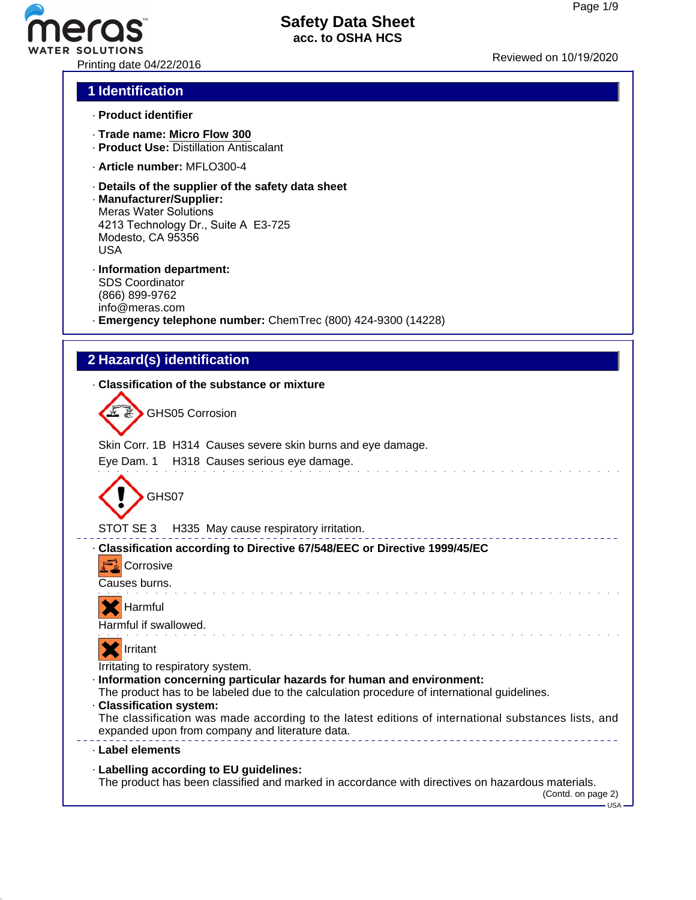# Printing date 04/22/2016 Reviewed on 10/19/2020

# **Safety Data Sheet acc. to OSHA HCS**

# **1 Identification**

- · **Product identifier**
- · **Trade name: Micro Flow 300**
- · **Product Use:** Distillation Antiscalant
- · **Article number:** MFLO300-4
- · **Details of the supplier of the safety data sheet**
- · **Manufacturer/Supplier:** Meras Water Solutions 4213 Technology Dr., Suite A E3-725 Modesto, CA 95356 USA
- · **Information department:** SDS Coordinator (866) 899-9762 info@meras.com · **Emergency telephone number:** ChemTrec (800) 424-9300 (14228)

# **2 Hazard(s) identification**

#### · **Classification of the substance or mixture**

GHS05 Corrosion

Skin Corr. 1B H314 Causes severe skin burns and eye damage.

## Eye Dam. 1 H318 Causes serious eye damage.



## STOT SE 3 H335 May cause respiratory irritation.

## · **Classification according to Directive 67/548/EEC or Directive 1999/45/EC**

**Corrosive** 

Causes burns.



Harmful if swallowed.



Irritating to respiratory system.

- · **Information concerning particular hazards for human and environment:**
- The product has to be labeled due to the calculation procedure of international guidelines.

# · **Classification system:**

The classification was made according to the latest editions of international substances lists, and expanded upon from company and literature data.

. . . . . . . . . . . . . . . . .

.<br>Tanàna ao amin'ny faritr'i Nouvelle-Aquitaine, ao amin'ny faritr'i Nouvelle-Aquitaine, ao amin'ny faritr'i Nou

## · **Label elements**

· **Labelling according to EU guidelines:** The product has been classified and marked in accordance with directives on hazardous materials.

(Contd. on page 2)

 $-$ USA -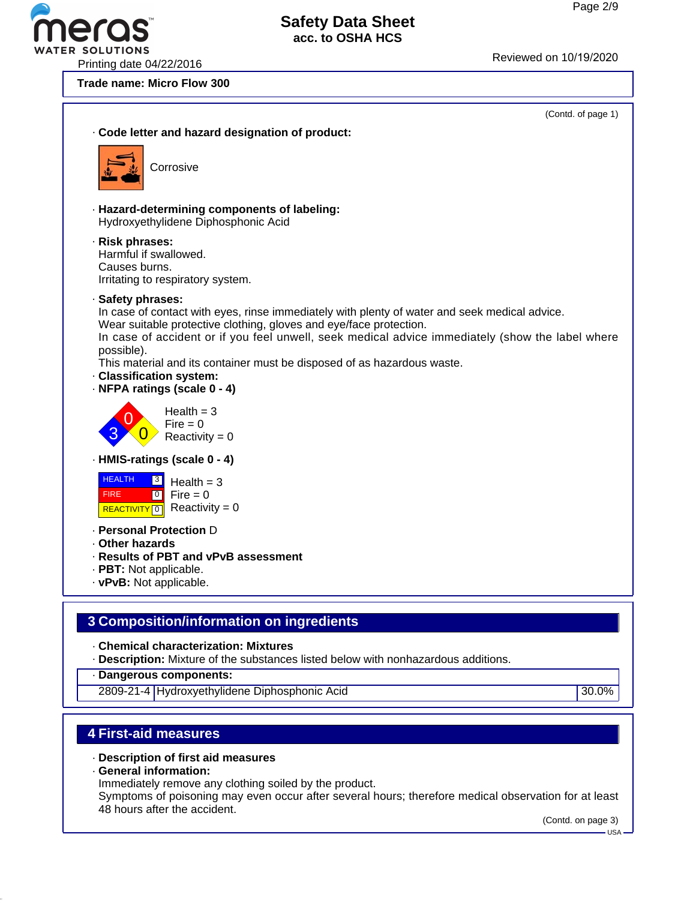R SOLUTIONS<br>Printing date 04/22/2016

#### **Trade name: Micro Flow 300**



· **Chemical characterization: Mixtures**

· **Description:** Mixture of the substances listed below with nonhazardous additions.

· **Dangerous components:**

2809-21-4 Hydroxyethylidene Diphosphonic Acid 30.0%

# **4 First-aid measures**

- · **Description of first aid measures**
- · **General information:**

Immediately remove any clothing soiled by the product.

Symptoms of poisoning may even occur after several hours; therefore medical observation for at least 48 hours after the accident.

(Contd. on page 3)

USA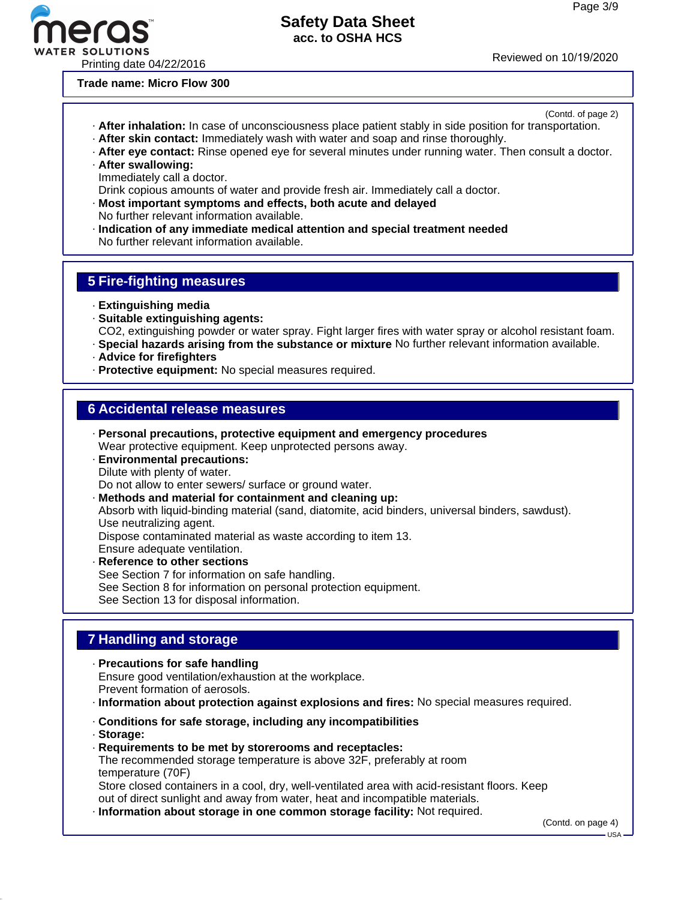(Contd. of page 2)



# **Safety Data Sheet acc. to OSHA HCS**

**Trade name: Micro Flow 300**

· **After inhalation:** In case of unconsciousness place patient stably in side position for transportation.

- · **After skin contact:** Immediately wash with water and soap and rinse thoroughly.
- · **After eye contact:** Rinse opened eye for several minutes under running water. Then consult a doctor.
- · **After swallowing:** Immediately call a doctor.

Drink copious amounts of water and provide fresh air. Immediately call a doctor.

- · **Most important symptoms and effects, both acute and delayed** No further relevant information available.
- · **Indication of any immediate medical attention and special treatment needed** No further relevant information available.

# **5 Fire-fighting measures**

- · **Extinguishing media**
- · **Suitable extinguishing agents:**
- CO2, extinguishing powder or water spray. Fight larger fires with water spray or alcohol resistant foam.
- · **Special hazards arising from the substance or mixture** No further relevant information available.
- · **Advice for firefighters**
- · **Protective equipment:** No special measures required.

# **6 Accidental release measures**

- · **Personal precautions, protective equipment and emergency procedures** Wear protective equipment. Keep unprotected persons away.
- · **Environmental precautions:** Dilute with plenty of water. Do not allow to enter sewers/ surface or ground water.
- · **Methods and material for containment and cleaning up:**

Absorb with liquid-binding material (sand, diatomite, acid binders, universal binders, sawdust). Use neutralizing agent.

Dispose contaminated material as waste according to item 13.

Ensure adequate ventilation.

· **Reference to other sections** See Section 7 for information on safe handling. See Section 8 for information on personal protection equipment. See Section 13 for disposal information.

# **7 Handling and storage**

- · **Precautions for safe handling** Ensure good ventilation/exhaustion at the workplace. Prevent formation of aerosols.
- · **Information about protection against explosions and fires:** No special measures required.
- · **Conditions for safe storage, including any incompatibilities**
- · **Storage:**
- · **Requirements to be met by storerooms and receptacles:**

The recommended storage temperature is above 32F, preferably at room temperature (70F)

Store closed containers in a cool, dry, well-ventilated area with acid-resistant floors. Keep out of direct sunlight and away from water, heat and incompatible materials.

· **Information about storage in one common storage facility:** Not required.

(Contd. on page 4)

USA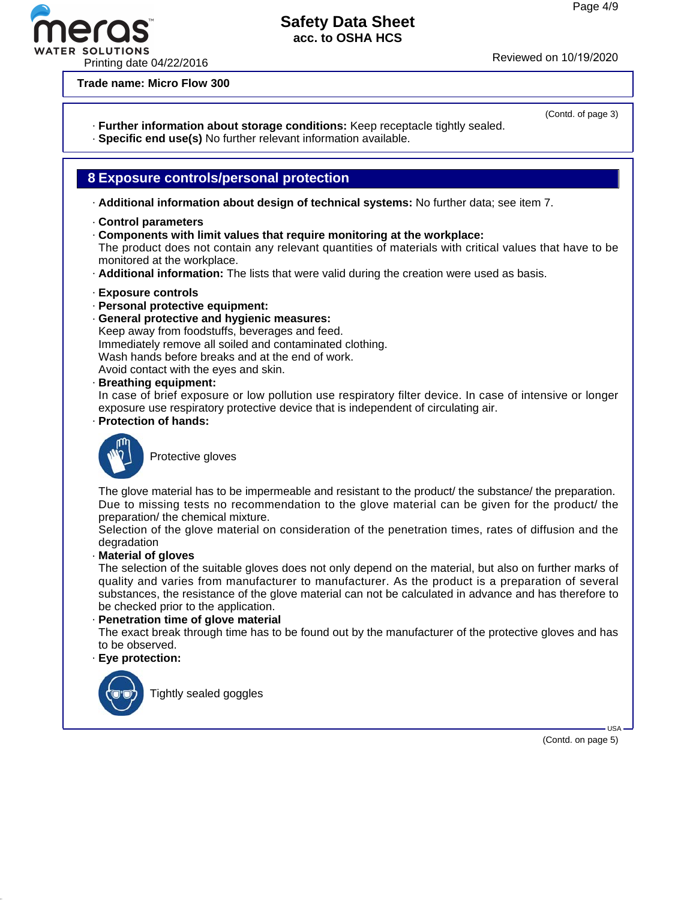Printing date 04/22/2016 Reviewed on 10/19/2020

**Trade name: Micro Flow 300**

# · **Further information about storage conditions:** Keep receptacle tightly sealed.

· **Specific end use(s)** No further relevant information available.

# **8 Exposure controls/personal protection**

· **Additional information about design of technical systems:** No further data; see item 7.

- · **Control parameters**
- · **Components with limit values that require monitoring at the workplace:**

The product does not contain any relevant quantities of materials with critical values that have to be monitored at the workplace.

· **Additional information:** The lists that were valid during the creation were used as basis.

#### · **Exposure controls**

- · **Personal protective equipment:**
- · **General protective and hygienic measures:**

Keep away from foodstuffs, beverages and feed. Immediately remove all soiled and contaminated clothing. Wash hands before breaks and at the end of work. Avoid contact with the eyes and skin.

· **Breathing equipment:**

In case of brief exposure or low pollution use respiratory filter device. In case of intensive or longer exposure use respiratory protective device that is independent of circulating air.

· **Protection of hands:**



Protective gloves

The glove material has to be impermeable and resistant to the product/ the substance/ the preparation. Due to missing tests no recommendation to the glove material can be given for the product/ the preparation/ the chemical mixture.

Selection of the glove material on consideration of the penetration times, rates of diffusion and the degradation

· **Material of gloves**

The selection of the suitable gloves does not only depend on the material, but also on further marks of quality and varies from manufacturer to manufacturer. As the product is a preparation of several substances, the resistance of the glove material can not be calculated in advance and has therefore to be checked prior to the application.

· **Penetration time of glove material**

The exact break through time has to be found out by the manufacturer of the protective gloves and has to be observed.

#### · **Eye protection:**



Tightly sealed goggles

(Contd. on page 5)

USA

(Contd. of page 3)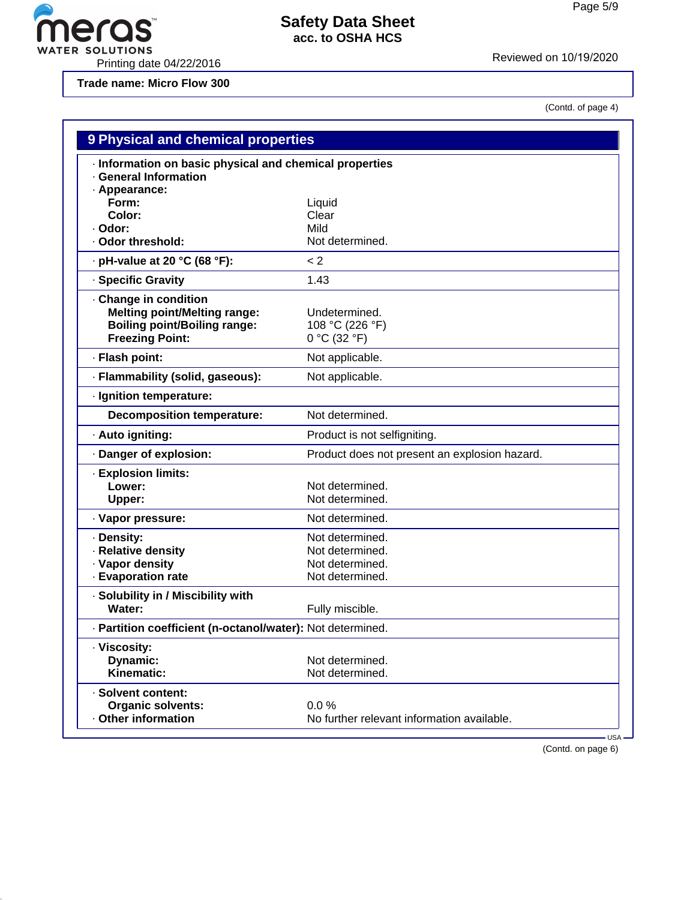

WATER SOLUTIONS<br>Printing date 04/22/2016 Printing date 04/22/2016

**Trade name: Micro Flow 300**

eras

(Contd. of page 4)

| 9 Physical and chemical properties<br>· Information on basic physical and chemical properties<br>· General Information      |                                                    |  |
|-----------------------------------------------------------------------------------------------------------------------------|----------------------------------------------------|--|
|                                                                                                                             |                                                    |  |
| Form:                                                                                                                       | Liquid                                             |  |
| Color:                                                                                                                      | Clear                                              |  |
| · Odor:                                                                                                                     | Mild                                               |  |
| · Odor threshold:                                                                                                           | Not determined.                                    |  |
| $\cdot$ pH-value at 20 °C (68 °F):                                                                                          | < 2                                                |  |
| · Specific Gravity                                                                                                          | 1.43                                               |  |
| Change in condition<br><b>Melting point/Melting range:</b><br><b>Boiling point/Boiling range:</b><br><b>Freezing Point:</b> | Undetermined.<br>108 °C (226 °F)<br>$0 °C$ (32 °F) |  |
| · Flash point:                                                                                                              | Not applicable.                                    |  |
| · Flammability (solid, gaseous):                                                                                            | Not applicable.                                    |  |
| · Ignition temperature:                                                                                                     |                                                    |  |
| <b>Decomposition temperature:</b>                                                                                           | Not determined.                                    |  |
| · Auto igniting:                                                                                                            | Product is not selfigniting.                       |  |
| · Danger of explosion:                                                                                                      | Product does not present an explosion hazard.      |  |
| <b>Explosion limits:</b>                                                                                                    |                                                    |  |
| Lower:                                                                                                                      | Not determined.                                    |  |
| Upper:                                                                                                                      | Not determined.                                    |  |
|                                                                                                                             | Not determined.                                    |  |
| · Vapor pressure:                                                                                                           |                                                    |  |
| · Density:                                                                                                                  | Not determined.                                    |  |
| · Relative density                                                                                                          | Not determined.                                    |  |
| · Vapor density                                                                                                             | Not determined.                                    |  |
| · Evaporation rate                                                                                                          | Not determined.                                    |  |
| · Solubility in / Miscibility with                                                                                          |                                                    |  |
| Water:                                                                                                                      | Fully miscible.                                    |  |
| · Partition coefficient (n-octanol/water): Not determined.                                                                  |                                                    |  |
| · Viscosity:                                                                                                                |                                                    |  |
| Dynamic:                                                                                                                    | Not determined.                                    |  |
| Kinematic:                                                                                                                  | Not determined.                                    |  |
| · Solvent content:                                                                                                          |                                                    |  |
|                                                                                                                             |                                                    |  |
| <b>Organic solvents:</b><br>· Other information                                                                             | 0.0%<br>No further relevant information available. |  |

(Contd. on page 6)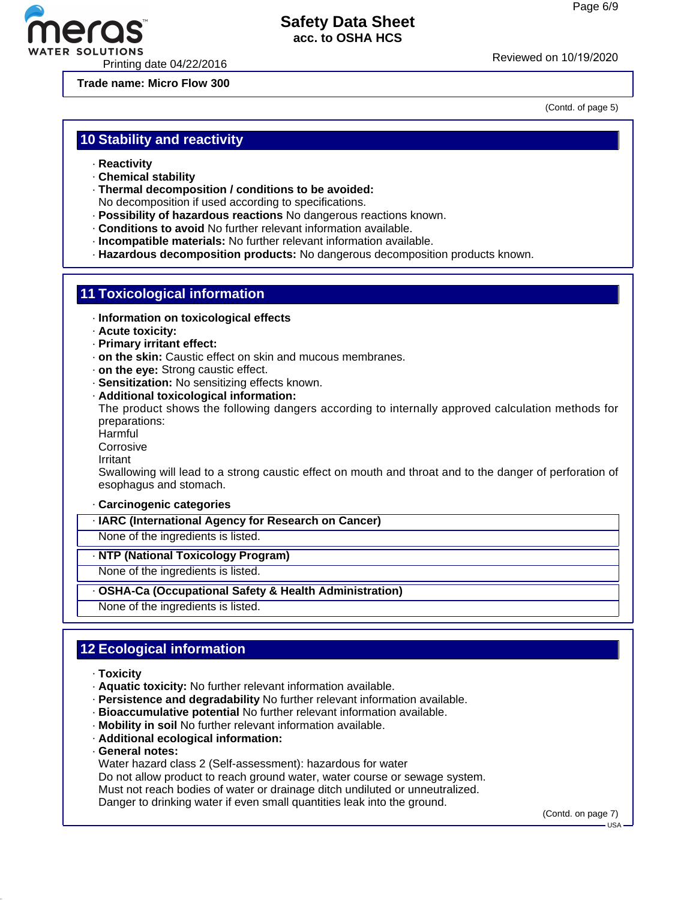(Contd. of page 5)



# **Safety Data Sheet acc. to OSHA HCS**

Printing date 04/22/2016<br>
Printing date 04/22/2016

**Trade name: Micro Flow 300**

**10 Stability and reactivity**

- · **Reactivity**
- · **Chemical stability**
- · **Thermal decomposition / conditions to be avoided:**

No decomposition if used according to specifications.

- · **Possibility of hazardous reactions** No dangerous reactions known.
- · **Conditions to avoid** No further relevant information available.
- · **Incompatible materials:** No further relevant information available.
- · **Hazardous decomposition products:** No dangerous decomposition products known.

# **11 Toxicological information**

- · **Information on toxicological effects**
- · **Acute toxicity:**
- · **Primary irritant effect:**
- · **on the skin:** Caustic effect on skin and mucous membranes.
- · **on the eye:** Strong caustic effect.
- · **Sensitization:** No sensitizing effects known.
- · **Additional toxicological information:**

The product shows the following dangers according to internally approved calculation methods for preparations:

**Harmful** 

- **Corrosive**
- Irritant

Swallowing will lead to a strong caustic effect on mouth and throat and to the danger of perforation of esophagus and stomach.

#### · **Carcinogenic categories**

· **IARC (International Agency for Research on Cancer)**

None of the ingredients is listed.

#### · **NTP (National Toxicology Program)**

None of the ingredients is listed.

- · **OSHA-Ca (Occupational Safety & Health Administration)**
- None of the ingredients is listed.

# **12 Ecological information**

- · **Toxicity**
- · **Aquatic toxicity:** No further relevant information available.
- · **Persistence and degradability** No further relevant information available.
- · **Bioaccumulative potential** No further relevant information available.
- · **Mobility in soil** No further relevant information available.
- · **Additional ecological information:**
- · **General notes:**
- Water hazard class 2 (Self-assessment): hazardous for water
- Do not allow product to reach ground water, water course or sewage system.
- Must not reach bodies of water or drainage ditch undiluted or unneutralized.
- Danger to drinking water if even small quantities leak into the ground.

(Contd. on page 7)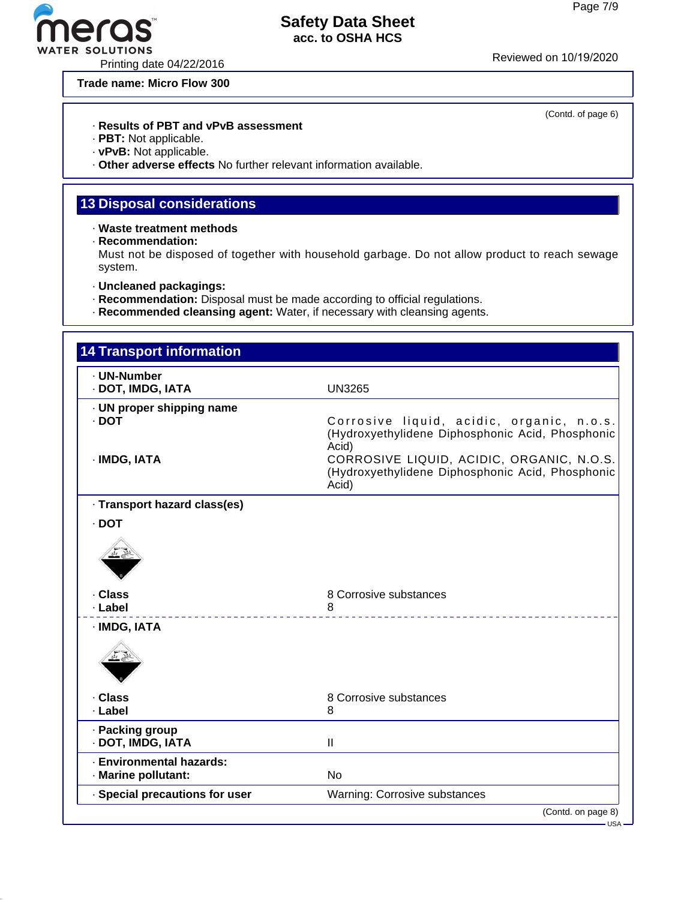TER SOLUTIONS<br>Printing date 04/22/2016 Printing date 04/22/2016

#### **Trade name: Micro Flow 300**

(Contd. of page 6)

# · **Results of PBT and vPvB assessment**

- · **PBT:** Not applicable.
- · **vPvB:** Not applicable.
- · **Other adverse effects** No further relevant information available.

# **13 Disposal considerations**

- · **Waste treatment methods**
- · **Recommendation:**

Must not be disposed of together with household garbage. Do not allow product to reach sewage system.

- · **Uncleaned packagings:**
- · **Recommendation:** Disposal must be made according to official regulations.
- · **Recommended cleansing agent:** Water, if necessary with cleansing agents.

| <b>14 Transport information</b>                 |                                                                                                        |
|-------------------------------------------------|--------------------------------------------------------------------------------------------------------|
| - UN-Number<br>· DOT, IMDG, IATA                | <b>UN3265</b>                                                                                          |
| · UN proper shipping name<br>$\cdot$ DOT        | Corrosive liquid, acidic, organic, n.o.s.<br>(Hydroxyethylidene Diphosphonic Acid, Phosphonic<br>Acid) |
| · IMDG, IATA                                    | CORROSIVE LIQUID, ACIDIC, ORGANIC, N.O.S.<br>(Hydroxyethylidene Diphosphonic Acid, Phosphonic<br>Acid) |
| · Transport hazard class(es)                    |                                                                                                        |
| · DOT                                           |                                                                                                        |
|                                                 |                                                                                                        |
| . Class<br>· Label                              | 8 Corrosive substances<br>8<br><u>.</u>                                                                |
| · IMDG, IATA                                    |                                                                                                        |
| · Class                                         | 8 Corrosive substances                                                                                 |
| · Label                                         | 8                                                                                                      |
| · Packing group<br>· DOT, IMDG, IATA            | Ш                                                                                                      |
| · Environmental hazards:<br>· Marine pollutant: | <b>No</b>                                                                                              |
|                                                 |                                                                                                        |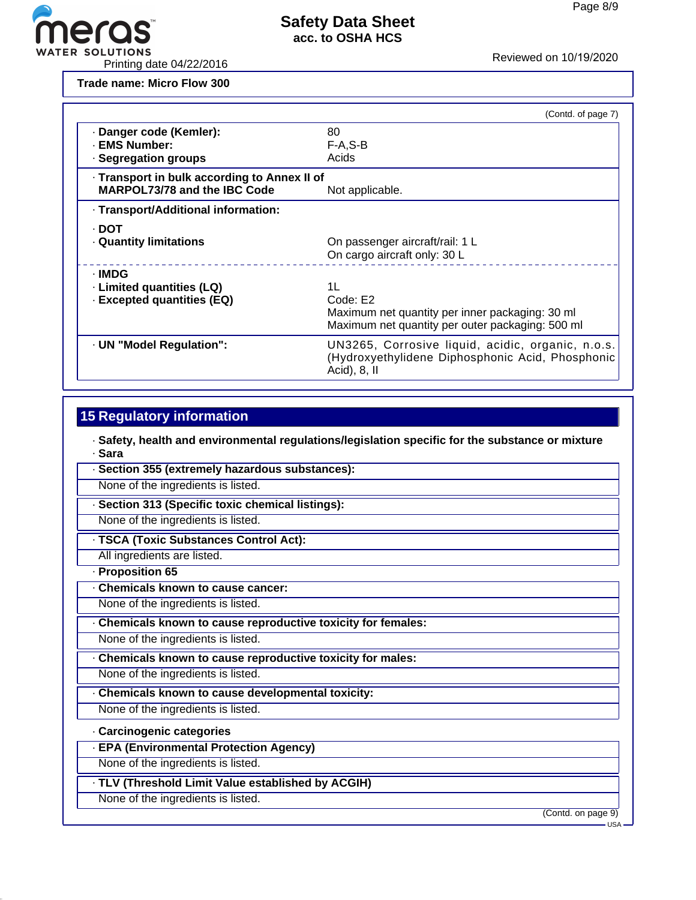

**Trade name: Micro Flow 300**

|                                                                                     |                                 | (Contd. of page 7) |
|-------------------------------------------------------------------------------------|---------------------------------|--------------------|
| Danger code (Kemler):                                                               | 80                              |                    |
| · EMS Number:                                                                       | $F-A, S-B$                      |                    |
| · Segregation groups                                                                | Acids                           |                    |
| · Transport in bulk according to Annex II of<br><b>MARPOL73/78 and the IBC Code</b> | Not applicable.                 |                    |
| · Transport/Additional information:                                                 |                                 |                    |
| · DOT                                                                               |                                 |                    |
| <b>Quantity limitations</b>                                                         | On passenger aircraft/rail: 1 L |                    |
|                                                                                     | On cargo aircraft only: 30 L    |                    |
| · IMDG                                                                              |                                 |                    |

| · IMDG<br>· Limited quantities (LQ)<br><b>Excepted quantities (EQ)</b> | 11<br>Code: E2<br>Maximum net quantity per inner packaging: 30 ml<br>Maximum net quantity per outer packaging: 500 ml    |
|------------------------------------------------------------------------|--------------------------------------------------------------------------------------------------------------------------|
| · UN "Model Regulation":                                               | UN3265, Corrosive liquid, acidic, organic, n.o.s.<br>(Hydroxyethylidene Diphosphonic Acid, Phosphonic<br>Acid), $8$ , II |

# **15 Regulatory information**

· **Safety, health and environmental regulations/legislation specific for the substance or mixture** · **Sara**

- · **Section 355 (extremely hazardous substances):**
- None of the ingredients is listed.
- · **Section 313 (Specific toxic chemical listings):** None of the ingredients is listed.
- · **TSCA (Toxic Substances Control Act):**
	- All ingredients are listed.
- · **Proposition 65**
- · **Chemicals known to cause cancer:**
- None of the ingredients is listed.
- · **Chemicals known to cause reproductive toxicity for females:**
- None of the ingredients is listed.
- · **Chemicals known to cause reproductive toxicity for males:**
- None of the ingredients is listed.
- · **Chemicals known to cause developmental toxicity:**
- None of the ingredients is listed.
- · **Carcinogenic categories**
- · **EPA (Environmental Protection Agency)**
- None of the ingredients is listed.
- · **TLV (Threshold Limit Value established by ACGIH)**
- None of the ingredients is listed.

(Contd. on page 9)

USA